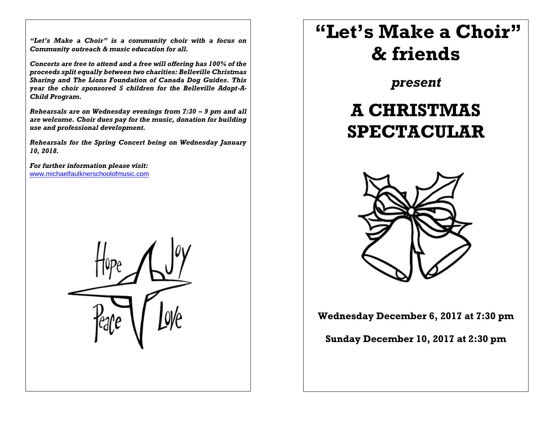*"Let's Make a Choir" is a community choir with a focus on Community outreach & music education for all.*

*Concerts are free to attend and a free will offering has 100% of the proceeds split equally between two charities: Belleville Christmas Sharing and The Lions Foundation of Canada Dog Guides. This year the choir sponsored 5 children for the Belleville Adopt-A-Child Program.*

*Rehearsals are on Wednesday evenings from 7:30 – 9 pm and all are welcome. Choir dues pay for the music, donation for building use and professional development.*

*Rehearsals for the Spring Concert being on Wednesday January 10, 2018.*

*For further information please visit:*  [www.michaelfaulknerschoolofmusic.com](http://www.michaelfaulknerschoolofmusic.com/)



## **"Let's Make a Choir" & friends**

*present*

## **A CHRISTMAS SPECTACULAR**



**Wednesday December 6, 2017 at 7:30 pm**

**Sunday December 10, 2017 at 2:30 pm**